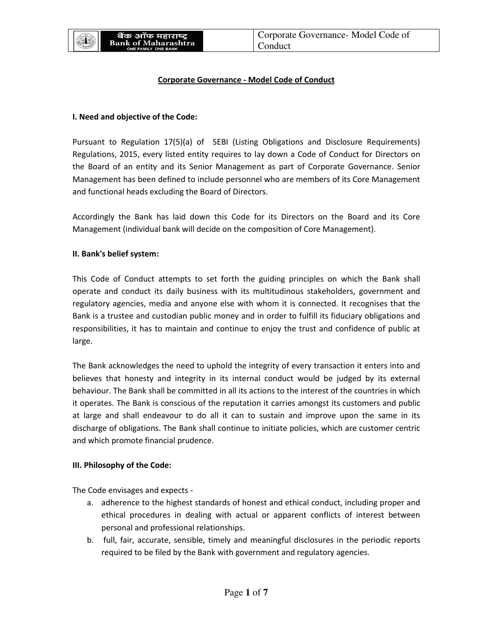

## **Corporate Governance - Model Code of Conduct**

#### **I. Need and objective of the Code:**

Pursuant to Regulation 17(5)(a) of SEBI (Listing Obligations and Disclosure Requirements) Regulations, 2015, every listed entity requires to lay down a Code of Conduct for Directors on the Board of an entity and its Senior Management as part of Corporate Governance. Senior Management has been defined to include personnel who are members of its Core Management and functional heads excluding the Board of Directors.

Accordingly the Bank has laid down this Code for its Directors on the Board and its Core Management (individual bank will decide on the composition of Core Management).

#### **II. Bank's belief system:**

This Code of Conduct attempts to set forth the guiding principles on which the Bank shall operate and conduct its daily business with its multitudinous stakeholders, government and regulatory agencies, media and anyone else with whom it is connected. It recognises that the Bank is a trustee and custodian public money and in order to fulfill its fiduciary obligations and responsibilities, it has to maintain and continue to enjoy the trust and confidence of public at large.

The Bank acknowledges the need to uphold the integrity of every transaction it enters into and believes that honesty and integrity in its internal conduct would be judged by its external behaviour. The Bank shall be committed in all its actions to the interest of the countries in which it operates. The Bank is conscious of the reputation it carries amongst its customers and public at large and shall endeavour to do all it can to sustain and improve upon the same in its discharge of obligations. The Bank shall continue to initiate policies, which are customer centric and which promote financial prudence.

## **III. Philosophy of the Code:**

The Code envisages and expects -

- a. adherence to the highest standards of honest and ethical conduct, including proper and ethical procedures in dealing with actual or apparent conflicts of interest between personal and professional relationships.
- b. full, fair, accurate, sensible, timely and meaningful disclosures in the periodic reports required to be filed by the Bank with government and regulatory agencies.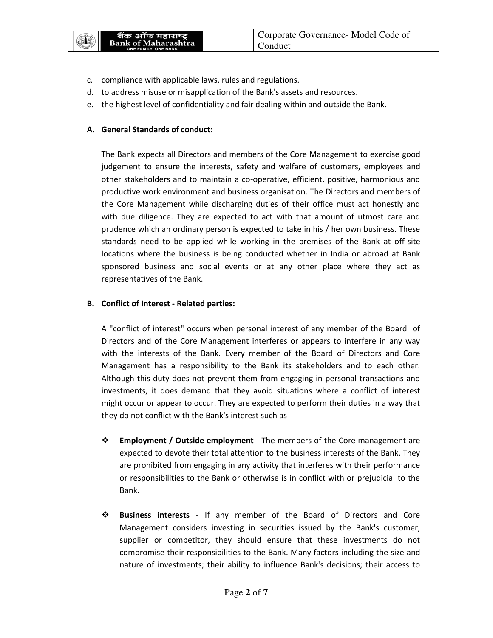

- c. compliance with applicable laws, rules and regulations.
- d. to address misuse or misapplication of the Bank's assets and resources.
- e. the highest level of confidentiality and fair dealing within and outside the Bank.

# **A. General Standards of conduct:**

The Bank expects all Directors and members of the Core Management to exercise good judgement to ensure the interests, safety and welfare of customers, employees and other stakeholders and to maintain a co-operative, efficient, positive, harmonious and productive work environment and business organisation. The Directors and members of the Core Management while discharging duties of their office must act honestly and with due diligence. They are expected to act with that amount of utmost care and prudence which an ordinary person is expected to take in his / her own business. These standards need to be applied while working in the premises of the Bank at off-site locations where the business is being conducted whether in India or abroad at Bank sponsored business and social events or at any other place where they act as representatives of the Bank.

# **B. Conflict of Interest - Related parties:**

A "conflict of interest" occurs when personal interest of any member of the Board of Directors and of the Core Management interferes or appears to interfere in any way with the interests of the Bank. Every member of the Board of Directors and Core Management has a responsibility to the Bank its stakeholders and to each other. Although this duty does not prevent them from engaging in personal transactions and investments, it does demand that they avoid situations where a conflict of interest might occur or appear to occur. They are expected to perform their duties in a way that they do not conflict with the Bank's interest such as-

- **Employment / Outside employment**  The members of the Core management are expected to devote their total attention to the business interests of the Bank. They are prohibited from engaging in any activity that interferes with their performance or responsibilities to the Bank or otherwise is in conflict with or prejudicial to the Bank.
- **Business interests**  If any member of the Board of Directors and Core Management considers investing in securities issued by the Bank's customer, supplier or competitor, they should ensure that these investments do not compromise their responsibilities to the Bank. Many factors including the size and nature of investments; their ability to influence Bank's decisions; their access to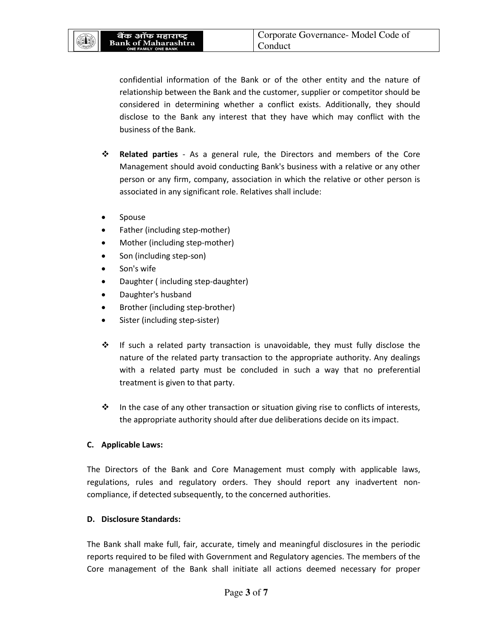(II)

confidential information of the Bank or of the other entity and the nature of relationship between the Bank and the customer, supplier or competitor should be considered in determining whether a conflict exists. Additionally, they should disclose to the Bank any interest that they have which may conflict with the business of the Bank.

- **Related parties**  As a general rule, the Directors and members of the Core Management should avoid conducting Bank's business with a relative or any other person or any firm, company, association in which the relative or other person is associated in any significant role. Relatives shall include:
- Spouse
- Father (including step-mother)
- Mother (including step-mother)
- Son (including step-son)
- Son's wife
- Daughter ( including step-daughter)
- Daughter's husband
- Brother (including step-brother)
- Sister (including step-sister)
- $\div$  If such a related party transaction is unavoidable, they must fully disclose the nature of the related party transaction to the appropriate authority. Any dealings with a related party must be concluded in such a way that no preferential treatment is given to that party.
- $\cdot \cdot$  In the case of any other transaction or situation giving rise to conflicts of interests, the appropriate authority should after due deliberations decide on its impact.

# **C. Applicable Laws:**

The Directors of the Bank and Core Management must comply with applicable laws, regulations, rules and regulatory orders. They should report any inadvertent noncompliance, if detected subsequently, to the concerned authorities.

# **D. Disclosure Standards:**

The Bank shall make full, fair, accurate, timely and meaningful disclosures in the periodic reports required to be filed with Government and Regulatory agencies. The members of the Core management of the Bank shall initiate all actions deemed necessary for proper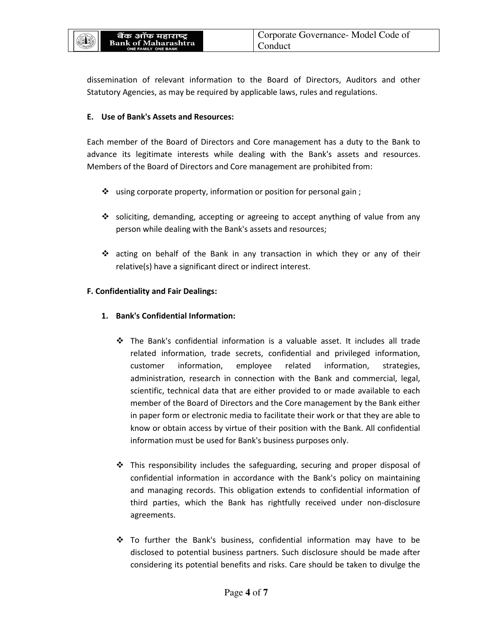通形

dissemination of relevant information to the Board of Directors, Auditors and other Statutory Agencies, as may be required by applicable laws, rules and regulations.

## **E. Use of Bank's Assets and Resources:**

Each member of the Board of Directors and Core management has a duty to the Bank to advance its legitimate interests while dealing with the Bank's assets and resources. Members of the Board of Directors and Core management are prohibited from:

- $\cdot$  using corporate property, information or position for personal gain;
- $\div$  soliciting, demanding, accepting or agreeing to accept anything of value from any person while dealing with the Bank's assets and resources;
- acting on behalf of the Bank in any transaction in which they or any of their relative(s) have a significant direct or indirect interest.

# **F. Confidentiality and Fair Dealings:**

- **1. Bank's Confidential Information:** 
	- The Bank's confidential information is a valuable asset. It includes all trade related information, trade secrets, confidential and privileged information, customer information, employee related information, strategies, administration, research in connection with the Bank and commercial, legal, scientific, technical data that are either provided to or made available to each member of the Board of Directors and the Core management by the Bank either in paper form or electronic media to facilitate their work or that they are able to know or obtain access by virtue of their position with the Bank. All confidential information must be used for Bank's business purposes only.
	- $\div$  This responsibility includes the safeguarding, securing and proper disposal of confidential information in accordance with the Bank's policy on maintaining and managing records. This obligation extends to confidential information of third parties, which the Bank has rightfully received under non-disclosure agreements.
	- To further the Bank's business, confidential information may have to be disclosed to potential business partners. Such disclosure should be made after considering its potential benefits and risks. Care should be taken to divulge the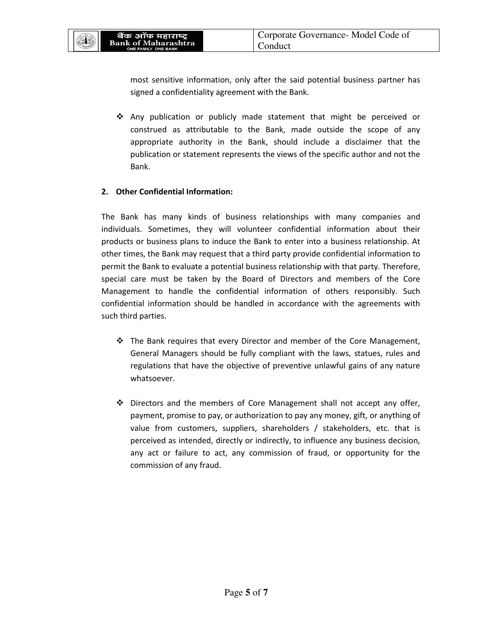(II)

most sensitive information, only after the said potential business partner has signed a confidentiality agreement with the Bank.

 $\div$  Any publication or publicly made statement that might be perceived or construed as attributable to the Bank, made outside the scope of any appropriate authority in the Bank, should include a disclaimer that the publication or statement represents the views of the specific author and not the Bank.

# **2. Other Confidential Information:**

The Bank has many kinds of business relationships with many companies and individuals. Sometimes, they will volunteer confidential information about their products or business plans to induce the Bank to enter into a business relationship. At other times, the Bank may request that a third party provide confidential information to permit the Bank to evaluate a potential business relationship with that party. Therefore, special care must be taken by the Board of Directors and members of the Core Management to handle the confidential information of others responsibly. Such confidential information should be handled in accordance with the agreements with such third parties.

- $\div$  The Bank requires that every Director and member of the Core Management, General Managers should be fully compliant with the laws, statues, rules and regulations that have the objective of preventive unlawful gains of any nature whatsoever.
- Directors and the members of Core Management shall not accept any offer, payment, promise to pay, or authorization to pay any money, gift, or anything of value from customers, suppliers, shareholders / stakeholders, etc. that is perceived as intended, directly or indirectly, to influence any business decision, any act or failure to act, any commission of fraud, or opportunity for the commission of any fraud.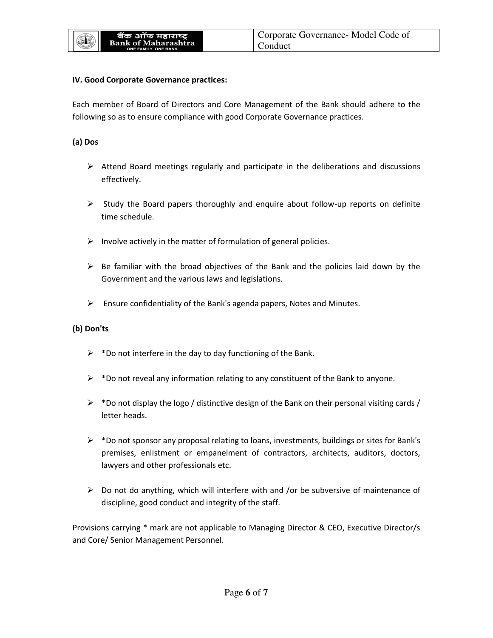#### **IV. Good Corporate Governance practices:**

Each member of Board of Directors and Core Management of the Bank should adhere to the following so as to ensure compliance with good Corporate Governance practices.

#### **(a) Dos**

- $\triangleright$  Attend Board meetings regularly and participate in the deliberations and discussions effectively.
- $\triangleright$  Study the Board papers thoroughly and enquire about follow-up reports on definite time schedule.
- $\triangleright$  Involve actively in the matter of formulation of general policies.
- $\triangleright$  Be familiar with the broad objectives of the Bank and the policies laid down by the Government and the various laws and legislations.
- $\triangleright$  Ensure confidentiality of the Bank's agenda papers, Notes and Minutes.

## **(b) Don'ts**

- $\triangleright$  \*Do not interfere in the day to day functioning of the Bank.
- $\triangleright$  \*Do not reveal any information relating to any constituent of the Bank to anyone.
- $\triangleright$  \*Do not display the logo / distinctive design of the Bank on their personal visiting cards / letter heads.
- $\triangleright$  \*Do not sponsor any proposal relating to loans, investments, buildings or sites for Bank's premises, enlistment or empanelment of contractors, architects, auditors, doctors, lawyers and other professionals etc.
- $\triangleright$  Do not do anything, which will interfere with and /or be subversive of maintenance of discipline, good conduct and integrity of the staff.

Provisions carrying \* mark are not applicable to Managing Director & CEO, Executive Director/s and Core/ Senior Management Personnel.